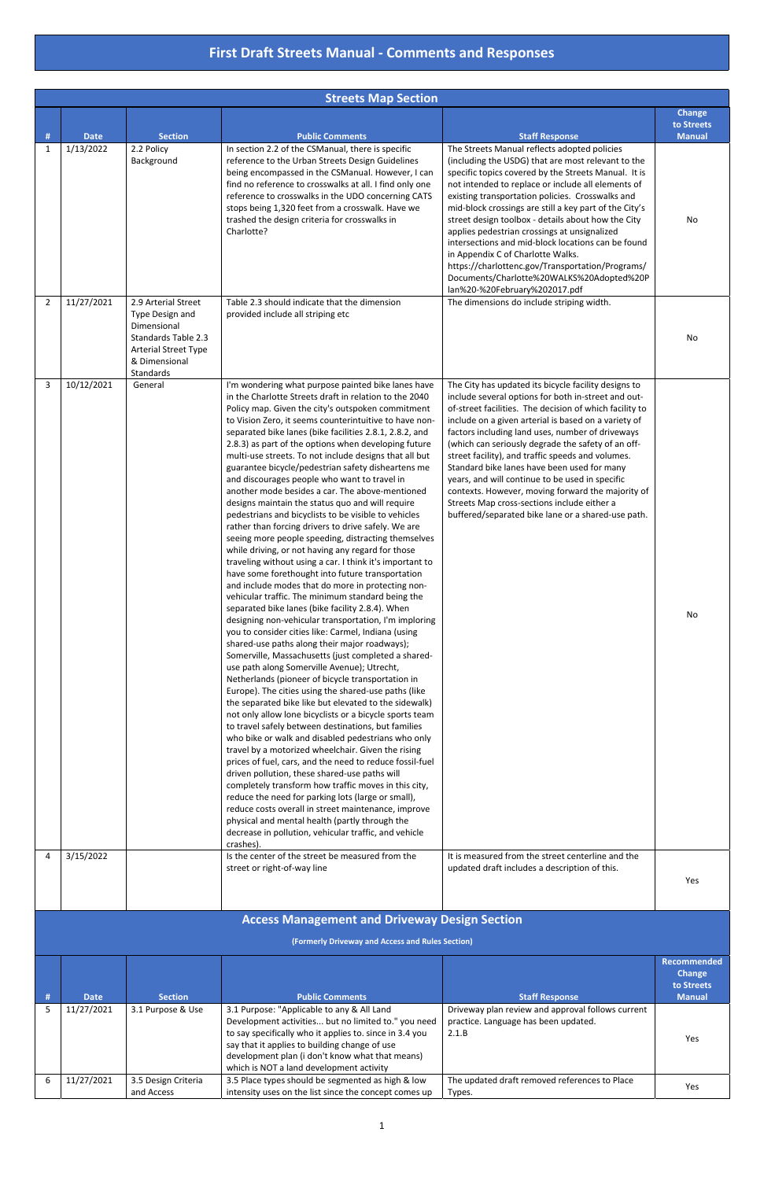## **First Draft Streets Manual ‐ Comments and Responses**

|   | <b>Streets Map Section</b> |                                                                                                                                     |                                                                                                                                                                                                                                                                                                                                                                                                                                                                                                                                                                                                                                                                                                                                                                                                                                                                                                                                                                                                                                                                                                                                                                                                                                                                                                                                                                                                                                                                                                                                                                                                                                                                                                                                                                                                                                                                                                                                                                                                                                                                                                                                                                                                                     |                                                                                                                                                                                                                                                                                                                                                                                                                                                                                                                                                                                                                                                                   |                                              |  |
|---|----------------------------|-------------------------------------------------------------------------------------------------------------------------------------|---------------------------------------------------------------------------------------------------------------------------------------------------------------------------------------------------------------------------------------------------------------------------------------------------------------------------------------------------------------------------------------------------------------------------------------------------------------------------------------------------------------------------------------------------------------------------------------------------------------------------------------------------------------------------------------------------------------------------------------------------------------------------------------------------------------------------------------------------------------------------------------------------------------------------------------------------------------------------------------------------------------------------------------------------------------------------------------------------------------------------------------------------------------------------------------------------------------------------------------------------------------------------------------------------------------------------------------------------------------------------------------------------------------------------------------------------------------------------------------------------------------------------------------------------------------------------------------------------------------------------------------------------------------------------------------------------------------------------------------------------------------------------------------------------------------------------------------------------------------------------------------------------------------------------------------------------------------------------------------------------------------------------------------------------------------------------------------------------------------------------------------------------------------------------------------------------------------------|-------------------------------------------------------------------------------------------------------------------------------------------------------------------------------------------------------------------------------------------------------------------------------------------------------------------------------------------------------------------------------------------------------------------------------------------------------------------------------------------------------------------------------------------------------------------------------------------------------------------------------------------------------------------|----------------------------------------------|--|
| # | <b>Date</b>                | <b>Section</b>                                                                                                                      | <b>Public Comments</b>                                                                                                                                                                                                                                                                                                                                                                                                                                                                                                                                                                                                                                                                                                                                                                                                                                                                                                                                                                                                                                                                                                                                                                                                                                                                                                                                                                                                                                                                                                                                                                                                                                                                                                                                                                                                                                                                                                                                                                                                                                                                                                                                                                                              | <b>Staff Response</b>                                                                                                                                                                                                                                                                                                                                                                                                                                                                                                                                                                                                                                             | <b>Change</b><br>to Streets<br><b>Manual</b> |  |
| 1 | 1/13/2022                  | 2.2 Policy<br>Background                                                                                                            | In section 2.2 of the CSManual, there is specific<br>reference to the Urban Streets Design Guidelines<br>being encompassed in the CSManual. However, I can<br>find no reference to crosswalks at all. I find only one<br>reference to crosswalks in the UDO concerning CATS<br>stops being 1,320 feet from a crosswalk. Have we<br>trashed the design criteria for crosswalks in<br>Charlotte?                                                                                                                                                                                                                                                                                                                                                                                                                                                                                                                                                                                                                                                                                                                                                                                                                                                                                                                                                                                                                                                                                                                                                                                                                                                                                                                                                                                                                                                                                                                                                                                                                                                                                                                                                                                                                      | The Streets Manual reflects adopted policies<br>(including the USDG) that are most relevant to the<br>specific topics covered by the Streets Manual. It is<br>not intended to replace or include all elements of<br>existing transportation policies. Crosswalks and<br>mid-block crossings are still a key part of the City's<br>street design toolbox - details about how the City<br>applies pedestrian crossings at unsignalized<br>intersections and mid-block locations can be found<br>in Appendix C of Charlotte Walks.<br>https://charlottenc.gov/Transportation/Programs/<br>Documents/Charlotte%20WALKS%20Adopted%20P<br>lan%20-%20February%202017.pdf | No                                           |  |
| 2 | 11/27/2021                 | 2.9 Arterial Street<br>Type Design and<br>Dimensional<br><b>Standards Table 2.3</b><br><b>Arterial Street Type</b><br>& Dimensional | Table 2.3 should indicate that the dimension<br>provided include all striping etc                                                                                                                                                                                                                                                                                                                                                                                                                                                                                                                                                                                                                                                                                                                                                                                                                                                                                                                                                                                                                                                                                                                                                                                                                                                                                                                                                                                                                                                                                                                                                                                                                                                                                                                                                                                                                                                                                                                                                                                                                                                                                                                                   | The dimensions do include striping width.                                                                                                                                                                                                                                                                                                                                                                                                                                                                                                                                                                                                                         | No                                           |  |
| 3 | 10/12/2021                 | Standards<br>General                                                                                                                | I'm wondering what purpose painted bike lanes have<br>in the Charlotte Streets draft in relation to the 2040<br>Policy map. Given the city's outspoken commitment<br>to Vision Zero, it seems counterintuitive to have non-<br>separated bike lanes (bike facilities 2.8.1, 2.8.2, and<br>2.8.3) as part of the options when developing future<br>multi-use streets. To not include designs that all but<br>guarantee bicycle/pedestrian safety disheartens me<br>and discourages people who want to travel in<br>another mode besides a car. The above-mentioned<br>designs maintain the status quo and will require<br>pedestrians and bicyclists to be visible to vehicles<br>rather than forcing drivers to drive safely. We are<br>seeing more people speeding, distracting themselves<br>while driving, or not having any regard for those<br>traveling without using a car. I think it's important to<br>have some forethought into future transportation<br>and include modes that do more in protecting non-<br>vehicular traffic. The minimum standard being the<br>separated bike lanes (bike facility 2.8.4). When<br>designing non-vehicular transportation, I'm imploring<br>you to consider cities like: Carmel, Indiana (using<br>shared-use paths along their major roadways);<br>Somerville, Massachusetts (just completed a shared-<br>use path along Somerville Avenue); Utrecht,<br>Netherlands (pioneer of bicycle transportation in<br>Europe). The cities using the shared-use paths (like<br>the separated bike like but elevated to the sidewalk)<br>not only allow lone bicyclists or a bicycle sports team<br>to travel safely between destinations, but families<br>who bike or walk and disabled pedestrians who only<br>travel by a motorized wheelchair. Given the rising<br>prices of fuel, cars, and the need to reduce fossil-fuel<br>driven pollution, these shared-use paths will<br>completely transform how traffic moves in this city,<br>reduce the need for parking lots (large or small),<br>reduce costs overall in street maintenance, improve<br>physical and mental health (partly through the<br>decrease in pollution, vehicular traffic, and vehicle<br>crashes). | The City has updated its bicycle facility designs to<br>include several options for both in-street and out-<br>of-street facilities. The decision of which facility to<br>include on a given arterial is based on a variety of<br>factors including land uses, number of driveways<br>(which can seriously degrade the safety of an off-<br>street facility), and traffic speeds and volumes.<br>Standard bike lanes have been used for many<br>years, and will continue to be used in specific<br>contexts. However, moving forward the majority of<br>Streets Map cross-sections include either a<br>buffered/separated bike lane or a shared-use path.         | No                                           |  |
| 4 | 3/15/2022                  |                                                                                                                                     | Is the center of the street be measured from the<br>street or right-of-way line                                                                                                                                                                                                                                                                                                                                                                                                                                                                                                                                                                                                                                                                                                                                                                                                                                                                                                                                                                                                                                                                                                                                                                                                                                                                                                                                                                                                                                                                                                                                                                                                                                                                                                                                                                                                                                                                                                                                                                                                                                                                                                                                     | It is measured from the street centerline and the<br>updated draft includes a description of this.                                                                                                                                                                                                                                                                                                                                                                                                                                                                                                                                                                | Yes                                          |  |
|   |                            |                                                                                                                                     | <b>Access Management and Driveway Design Section</b>                                                                                                                                                                                                                                                                                                                                                                                                                                                                                                                                                                                                                                                                                                                                                                                                                                                                                                                                                                                                                                                                                                                                                                                                                                                                                                                                                                                                                                                                                                                                                                                                                                                                                                                                                                                                                                                                                                                                                                                                                                                                                                                                                                |                                                                                                                                                                                                                                                                                                                                                                                                                                                                                                                                                                                                                                                                   |                                              |  |
|   |                            |                                                                                                                                     | (Formerly Driveway and Access and Rules Section)                                                                                                                                                                                                                                                                                                                                                                                                                                                                                                                                                                                                                                                                                                                                                                                                                                                                                                                                                                                                                                                                                                                                                                                                                                                                                                                                                                                                                                                                                                                                                                                                                                                                                                                                                                                                                                                                                                                                                                                                                                                                                                                                                                    |                                                                                                                                                                                                                                                                                                                                                                                                                                                                                                                                                                                                                                                                   | <b>Recommended</b><br>Change<br>to Streets   |  |
| # | <b>Date</b>                | <b>Section</b>                                                                                                                      | <b>Public Comments</b><br>3.1 Purpose: "Applicable to any & All Land                                                                                                                                                                                                                                                                                                                                                                                                                                                                                                                                                                                                                                                                                                                                                                                                                                                                                                                                                                                                                                                                                                                                                                                                                                                                                                                                                                                                                                                                                                                                                                                                                                                                                                                                                                                                                                                                                                                                                                                                                                                                                                                                                | <b>Staff Response</b>                                                                                                                                                                                                                                                                                                                                                                                                                                                                                                                                                                                                                                             | <b>Manual</b>                                |  |
| 5 | 11/27/2021                 | 3.1 Purpose & Use                                                                                                                   | Development activities but no limited to." you need<br>to say specifically who it applies to. since in 3.4 you<br>say that it applies to building change of use<br>development plan (i don't know what that means)<br>which is NOT a land development activity                                                                                                                                                                                                                                                                                                                                                                                                                                                                                                                                                                                                                                                                                                                                                                                                                                                                                                                                                                                                                                                                                                                                                                                                                                                                                                                                                                                                                                                                                                                                                                                                                                                                                                                                                                                                                                                                                                                                                      | Driveway plan review and approval follows current<br>practice. Language has been updated.<br>2.1.B                                                                                                                                                                                                                                                                                                                                                                                                                                                                                                                                                                | Yes                                          |  |
| 6 | 11/27/2021                 | 3.5 Design Criteria<br>and Access                                                                                                   | 3.5 Place types should be segmented as high & low<br>intensity uses on the list since the concept comes up                                                                                                                                                                                                                                                                                                                                                                                                                                                                                                                                                                                                                                                                                                                                                                                                                                                                                                                                                                                                                                                                                                                                                                                                                                                                                                                                                                                                                                                                                                                                                                                                                                                                                                                                                                                                                                                                                                                                                                                                                                                                                                          | The updated draft removed references to Place<br>Types.                                                                                                                                                                                                                                                                                                                                                                                                                                                                                                                                                                                                           | Yes                                          |  |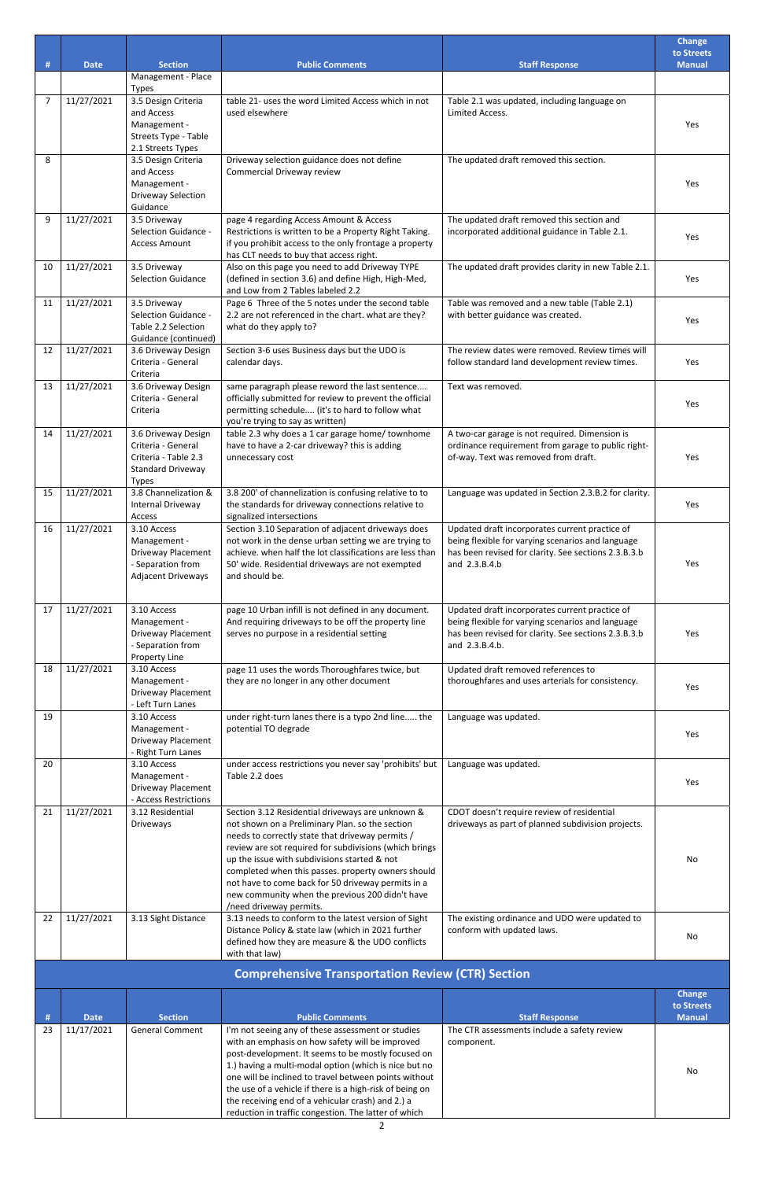|    |             |                                                                                                               |                                                                                                                                                                                                                                                                                                                                                                                                                                                             |                                                                                                                                                                               | <b>Change</b><br>to Streets                  |
|----|-------------|---------------------------------------------------------------------------------------------------------------|-------------------------------------------------------------------------------------------------------------------------------------------------------------------------------------------------------------------------------------------------------------------------------------------------------------------------------------------------------------------------------------------------------------------------------------------------------------|-------------------------------------------------------------------------------------------------------------------------------------------------------------------------------|----------------------------------------------|
| #  | <b>Date</b> | <b>Section</b><br>Management - Place                                                                          | <b>Public Comments</b>                                                                                                                                                                                                                                                                                                                                                                                                                                      | <b>Staff Response</b>                                                                                                                                                         | <b>Manual</b>                                |
|    |             | <b>Types</b>                                                                                                  |                                                                                                                                                                                                                                                                                                                                                                                                                                                             |                                                                                                                                                                               |                                              |
| 7  | 11/27/2021  | 3.5 Design Criteria<br>and Access<br>Management -<br>Streets Type - Table<br>2.1 Streets Types                | table 21- uses the word Limited Access which in not<br>used elsewhere                                                                                                                                                                                                                                                                                                                                                                                       | Table 2.1 was updated, including language on<br>Limited Access.                                                                                                               | Yes                                          |
| 8  |             | 3.5 Design Criteria<br>and Access<br>Management -<br>Driveway Selection<br>Guidance                           | Driveway selection guidance does not define<br>Commercial Driveway review                                                                                                                                                                                                                                                                                                                                                                                   | The updated draft removed this section.                                                                                                                                       | Yes                                          |
| 9  | 11/27/2021  | 3.5 Driveway<br>Selection Guidance -<br><b>Access Amount</b>                                                  | page 4 regarding Access Amount & Access<br>Restrictions is written to be a Property Right Taking.<br>if you prohibit access to the only frontage a property<br>has CLT needs to buy that access right.                                                                                                                                                                                                                                                      | The updated draft removed this section and<br>incorporated additional guidance in Table 2.1.                                                                                  | Yes                                          |
| 10 | 11/27/2021  | 3.5 Driveway<br><b>Selection Guidance</b>                                                                     | Also on this page you need to add Driveway TYPE<br>(defined in section 3.6) and define High, High-Med,<br>and Low from 2 Tables labeled 2.2                                                                                                                                                                                                                                                                                                                 | The updated draft provides clarity in new Table 2.1.                                                                                                                          | Yes                                          |
| 11 | 11/27/2021  | 3.5 Driveway<br>Selection Guidance -<br>Table 2.2 Selection<br>Guidance (continued)                           | Page 6 Three of the 5 notes under the second table<br>2.2 are not referenced in the chart. what are they?<br>what do they apply to?                                                                                                                                                                                                                                                                                                                         | Table was removed and a new table (Table 2.1)<br>with better guidance was created.                                                                                            | Yes                                          |
| 12 | 11/27/2021  | 3.6 Driveway Design<br>Criteria - General<br>Criteria                                                         | Section 3-6 uses Business days but the UDO is<br>calendar days.                                                                                                                                                                                                                                                                                                                                                                                             | The review dates were removed. Review times will<br>follow standard land development review times.                                                                            | Yes                                          |
| 13 | 11/27/2021  | 3.6 Driveway Design<br>Criteria - General<br>Criteria                                                         | same paragraph please reword the last sentence<br>officially submitted for review to prevent the official<br>permitting schedule (it's to hard to follow what<br>you're trying to say as written)                                                                                                                                                                                                                                                           | Text was removed.                                                                                                                                                             | Yes                                          |
| 14 | 11/27/2021  | 3.6 Driveway Design<br>Criteria - General<br>Criteria - Table 2.3<br><b>Standard Driveway</b><br><b>Types</b> | table 2.3 why does a 1 car garage home/ townhome<br>have to have a 2-car driveway? this is adding<br>unnecessary cost                                                                                                                                                                                                                                                                                                                                       | A two-car garage is not required. Dimension is<br>ordinance requirement from garage to public right-<br>of-way. Text was removed from draft.                                  | Yes                                          |
| 15 | 11/27/2021  | 3.8 Channelization &<br><b>Internal Driveway</b><br>Access                                                    | 3.8 200' of channelization is confusing relative to to<br>the standards for driveway connections relative to<br>signalized intersections                                                                                                                                                                                                                                                                                                                    | Language was updated in Section 2.3.B.2 for clarity.                                                                                                                          | Yes                                          |
| 16 | 11/27/2021  | 3.10 Access<br>Management -<br>Driveway Placement<br>- Separation from<br><b>Adjacent Driveways</b>           | Section 3.10 Separation of adjacent driveways does<br>not work in the dense urban setting we are trying to<br>achieve. when half the lot classifications are less than<br>50' wide. Residential driveways are not exempted<br>and should be.                                                                                                                                                                                                                | Updated draft incorporates current practice of<br>being flexible for varying scenarios and language<br>has been revised for clarity. See sections 2.3.B.3.b<br>and 2.3.B.4.b  | Yes                                          |
| 17 | 11/27/2021  | 3.10 Access<br>Management -<br>Driveway Placement<br>- Separation from<br>Property Line                       | page 10 Urban infill is not defined in any document.<br>And requiring driveways to be off the property line<br>serves no purpose in a residential setting                                                                                                                                                                                                                                                                                                   | Updated draft incorporates current practice of<br>being flexible for varying scenarios and language<br>has been revised for clarity. See sections 2.3.B.3.b<br>and 2.3.B.4.b. | Yes                                          |
| 18 | 11/27/2021  | 3.10 Access<br>Management -<br>Driveway Placement<br>- Left Turn Lanes                                        | page 11 uses the words Thoroughfares twice, but<br>they are no longer in any other document                                                                                                                                                                                                                                                                                                                                                                 | Updated draft removed references to<br>thoroughfares and uses arterials for consistency.                                                                                      | Yes                                          |
| 19 |             | 3.10 Access<br>Management -<br>Driveway Placement<br>- Right Turn Lanes                                       | under right-turn lanes there is a typo 2nd line the<br>potential TO degrade                                                                                                                                                                                                                                                                                                                                                                                 | Language was updated.                                                                                                                                                         | Yes                                          |
| 20 |             | 3.10 Access<br>Management -<br>Driveway Placement<br>- Access Restrictions                                    | under access restrictions you never say 'prohibits' but<br>Table 2.2 does                                                                                                                                                                                                                                                                                                                                                                                   | Language was updated.                                                                                                                                                         | Yes                                          |
| 21 | 11/27/2021  | 3.12 Residential<br>Driveways                                                                                 | Section 3.12 Residential driveways are unknown &<br>not shown on a Preliminary Plan. so the section<br>needs to correctly state that driveway permits /<br>review are sot required for subdivisions (which brings<br>up the issue with subdivisions started & not<br>completed when this passes. property owners should<br>not have to come back for 50 driveway permits in a<br>new community when the previous 200 didn't have<br>/need driveway permits. | CDOT doesn't require review of residential<br>driveways as part of planned subdivision projects.                                                                              | No                                           |
| 22 | 11/27/2021  | 3.13 Sight Distance                                                                                           | 3.13 needs to conform to the latest version of Sight<br>Distance Policy & state law (which in 2021 further<br>defined how they are measure & the UDO conflicts<br>with that law)                                                                                                                                                                                                                                                                            | The existing ordinance and UDO were updated to<br>conform with updated laws.                                                                                                  | No                                           |
|    |             |                                                                                                               | <b>Comprehensive Transportation Review (CTR) Section</b>                                                                                                                                                                                                                                                                                                                                                                                                    |                                                                                                                                                                               |                                              |
| #  | <b>Date</b> | <b>Section</b>                                                                                                | <b>Public Comments</b>                                                                                                                                                                                                                                                                                                                                                                                                                                      | <b>Staff Response</b>                                                                                                                                                         | <b>Change</b><br>to Streets<br><b>Manual</b> |
| 23 | 11/17/2021  | <b>General Comment</b>                                                                                        | I'm not seeing any of these assessment or studies<br>with an emphasis on how safety will be improved<br>post-development. It seems to be mostly focused on<br>1.) having a multi-modal option (which is nice but no<br>one will be inclined to travel between points without<br>the use of a vehicle if there is a high-risk of being on<br>the receiving end of a vehicular crash) and 2.) a<br>reduction in traffic congestion. The latter of which       | The CTR assessments include a safety review<br>component.                                                                                                                     | No                                           |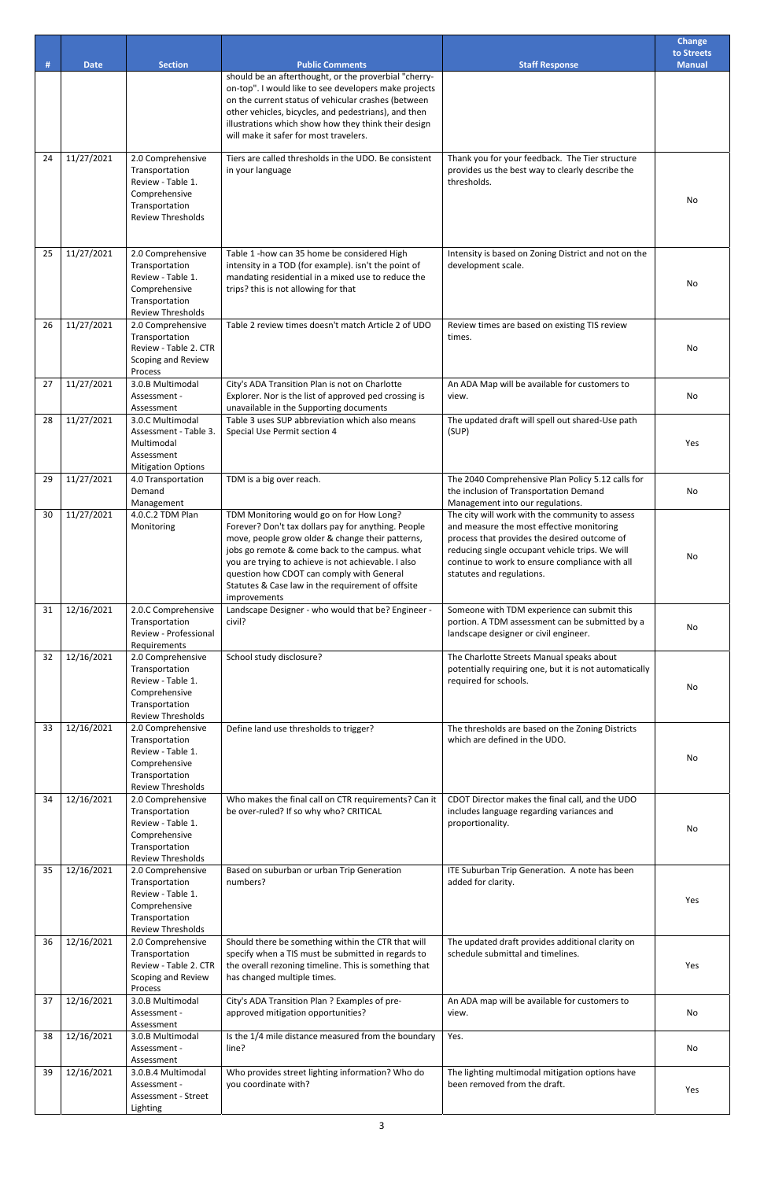|    |             |                                                                                                                         |                                                                                                                                                                                                                                                                                                                                                                |                                                                                                                                                                                                                                                                                | <b>Change</b><br>to Streets |
|----|-------------|-------------------------------------------------------------------------------------------------------------------------|----------------------------------------------------------------------------------------------------------------------------------------------------------------------------------------------------------------------------------------------------------------------------------------------------------------------------------------------------------------|--------------------------------------------------------------------------------------------------------------------------------------------------------------------------------------------------------------------------------------------------------------------------------|-----------------------------|
| #  | <b>Date</b> | <b>Section</b>                                                                                                          | <b>Public Comments</b>                                                                                                                                                                                                                                                                                                                                         | <b>Staff Response</b>                                                                                                                                                                                                                                                          | <b>Manual</b>               |
|    |             |                                                                                                                         | should be an afterthought, or the proverbial "cherry-<br>on-top". I would like to see developers make projects<br>on the current status of vehicular crashes (between<br>other vehicles, bicycles, and pedestrians), and then<br>illustrations which show how they think their design<br>will make it safer for most travelers.                                |                                                                                                                                                                                                                                                                                |                             |
| 24 | 11/27/2021  | 2.0 Comprehensive<br>Transportation<br>Review - Table 1.<br>Comprehensive<br>Transportation<br><b>Review Thresholds</b> | Tiers are called thresholds in the UDO. Be consistent<br>in your language                                                                                                                                                                                                                                                                                      | Thank you for your feedback. The Tier structure<br>provides us the best way to clearly describe the<br>thresholds.                                                                                                                                                             | No                          |
| 25 | 11/27/2021  | 2.0 Comprehensive<br>Transportation<br>Review - Table 1.<br>Comprehensive<br>Transportation<br><b>Review Thresholds</b> | Table 1 -how can 35 home be considered High<br>intensity in a TOD (for example). isn't the point of<br>mandating residential in a mixed use to reduce the<br>trips? this is not allowing for that                                                                                                                                                              | Intensity is based on Zoning District and not on the<br>development scale.                                                                                                                                                                                                     | No                          |
| 26 | 11/27/2021  | 2.0 Comprehensive<br>Transportation<br>Review - Table 2. CTR<br>Scoping and Review<br><b>Process</b>                    | Table 2 review times doesn't match Article 2 of UDO                                                                                                                                                                                                                                                                                                            | Review times are based on existing TIS review<br>times.                                                                                                                                                                                                                        | No                          |
| 27 | 11/27/2021  | 3.0.B Multimodal<br>Assessment -<br>Assessment                                                                          | City's ADA Transition Plan is not on Charlotte<br>Explorer. Nor is the list of approved ped crossing is<br>unavailable in the Supporting documents                                                                                                                                                                                                             | An ADA Map will be available for customers to<br>view.                                                                                                                                                                                                                         | No                          |
| 28 | 11/27/2021  | 3.0.C Multimodal<br>Assessment - Table 3.<br>Multimodal<br>Assessment<br><b>Mitigation Options</b>                      | Table 3 uses SUP abbreviation which also means<br>Special Use Permit section 4                                                                                                                                                                                                                                                                                 | The updated draft will spell out shared-Use path<br>(SUP)                                                                                                                                                                                                                      | Yes                         |
| 29 | 11/27/2021  | 4.0 Transportation<br>Demand<br>Management                                                                              | TDM is a big over reach.                                                                                                                                                                                                                                                                                                                                       | The 2040 Comprehensive Plan Policy 5.12 calls for<br>the inclusion of Transportation Demand<br>Management into our regulations.                                                                                                                                                | <b>No</b>                   |
| 30 | 11/27/2021  | 4.0.C.2 TDM Plan<br>Monitoring                                                                                          | TDM Monitoring would go on for How Long?<br>Forever? Don't tax dollars pay for anything. People<br>move, people grow older & change their patterns,<br>jobs go remote & come back to the campus. what<br>you are trying to achieve is not achievable. I also<br>question how CDOT can comply with General<br>Statutes & Case law in the requirement of offsite | The city will work with the community to assess<br>and measure the most effective monitoring<br>process that provides the desired outcome of<br>reducing single occupant vehicle trips. We will<br>continue to work to ensure compliance with all<br>statutes and regulations. | No                          |
| 31 | 12/16/2021  | 2.0.C Comprehensive<br>Transportation<br>Review - Professional<br>Requirements                                          | improvements<br>Landscape Designer - who would that be? Engineer -<br>civil?                                                                                                                                                                                                                                                                                   | Someone with TDM experience can submit this<br>portion. A TDM assessment can be submitted by a<br>landscape designer or civil engineer.                                                                                                                                        | No                          |
| 32 | 12/16/2021  | 2.0 Comprehensive<br>Transportation<br>Review - Table 1.<br>Comprehensive<br>Transportation<br><b>Review Thresholds</b> | School study disclosure?                                                                                                                                                                                                                                                                                                                                       | The Charlotte Streets Manual speaks about<br>potentially requiring one, but it is not automatically<br>required for schools.                                                                                                                                                   | No                          |
| 33 | 12/16/2021  | 2.0 Comprehensive<br>Transportation<br>Review - Table 1.<br>Comprehensive<br>Transportation<br><b>Review Thresholds</b> | Define land use thresholds to trigger?                                                                                                                                                                                                                                                                                                                         | The thresholds are based on the Zoning Districts<br>which are defined in the UDO.                                                                                                                                                                                              | No                          |
| 34 | 12/16/2021  | 2.0 Comprehensive<br>Transportation<br>Review - Table 1.<br>Comprehensive<br>Transportation<br><b>Review Thresholds</b> | Who makes the final call on CTR requirements? Can it<br>be over-ruled? If so why who? CRITICAL                                                                                                                                                                                                                                                                 | CDOT Director makes the final call, and the UDO<br>includes language regarding variances and<br>proportionality.                                                                                                                                                               | No                          |
| 35 | 12/16/2021  | 2.0 Comprehensive<br>Transportation<br>Review - Table 1.<br>Comprehensive<br>Transportation<br><b>Review Thresholds</b> | Based on suburban or urban Trip Generation<br>numbers?                                                                                                                                                                                                                                                                                                         | ITE Suburban Trip Generation. A note has been<br>added for clarity.                                                                                                                                                                                                            | Yes                         |
| 36 | 12/16/2021  | 2.0 Comprehensive<br>Transportation<br>Review - Table 2. CTR<br>Scoping and Review<br>Process                           | Should there be something within the CTR that will<br>specify when a TIS must be submitted in regards to<br>the overall rezoning timeline. This is something that<br>has changed multiple times.                                                                                                                                                               | The updated draft provides additional clarity on<br>schedule submittal and timelines.                                                                                                                                                                                          | Yes                         |
| 37 | 12/16/2021  | 3.0.B Multimodal<br>Assessment -<br>Assessment                                                                          | City's ADA Transition Plan ? Examples of pre-<br>approved mitigation opportunities?                                                                                                                                                                                                                                                                            | An ADA map will be available for customers to<br>view.                                                                                                                                                                                                                         | No                          |
| 38 | 12/16/2021  | 3.0.B Multimodal<br>Assessment -<br>Assessment                                                                          | Is the 1/4 mile distance measured from the boundary<br>line?                                                                                                                                                                                                                                                                                                   | Yes.                                                                                                                                                                                                                                                                           | No                          |
| 39 | 12/16/2021  | 3.0.B.4 Multimodal<br>Assessment -<br>Assessment - Street<br>Lighting                                                   | Who provides street lighting information? Who do<br>you coordinate with?                                                                                                                                                                                                                                                                                       | The lighting multimodal mitigation options have<br>been removed from the draft.                                                                                                                                                                                                | Yes                         |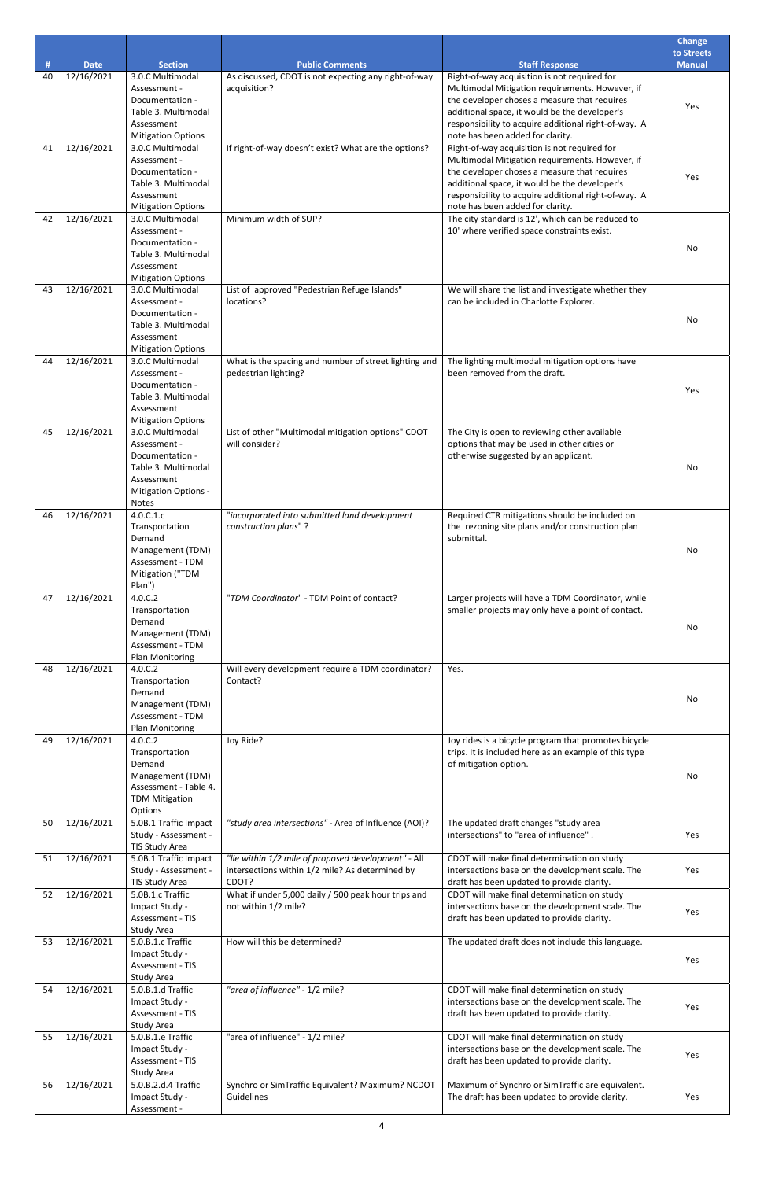|          |                          |                                                                                                                                           |                                                                                                                                     |                                                                                                                                                                                                                                                                                              | <b>Change</b><br>to Streets |
|----------|--------------------------|-------------------------------------------------------------------------------------------------------------------------------------------|-------------------------------------------------------------------------------------------------------------------------------------|----------------------------------------------------------------------------------------------------------------------------------------------------------------------------------------------------------------------------------------------------------------------------------------------|-----------------------------|
| #        | <b>Date</b>              | <b>Section</b>                                                                                                                            | <b>Public Comments</b>                                                                                                              | <b>Staff Response</b>                                                                                                                                                                                                                                                                        | <b>Manual</b>               |
| 40       | 12/16/2021               | 3.0.C Multimodal<br>Assessment -<br>Documentation -<br>Table 3. Multimodal<br>Assessment<br><b>Mitigation Options</b>                     | As discussed, CDOT is not expecting any right-of-way<br>acquisition?                                                                | Right-of-way acquisition is not required for<br>Multimodal Mitigation requirements. However, if<br>the developer choses a measure that requires<br>additional space, it would be the developer's<br>responsibility to acquire additional right-of-way. A<br>note has been added for clarity. | Yes                         |
| 41       | 12/16/2021               | 3.0.C Multimodal<br>Assessment -<br>Documentation -<br>Table 3. Multimodal<br>Assessment<br><b>Mitigation Options</b>                     | If right-of-way doesn't exist? What are the options?                                                                                | Right-of-way acquisition is not required for<br>Multimodal Mitigation requirements. However, if<br>the developer choses a measure that requires<br>additional space, it would be the developer's<br>responsibility to acquire additional right-of-way. A<br>note has been added for clarity. | Yes                         |
| 42       | 12/16/2021               | 3.0.C Multimodal<br>Assessment -<br>Documentation -<br>Table 3. Multimodal<br>Assessment<br><b>Mitigation Options</b>                     | Minimum width of SUP?                                                                                                               | The city standard is 12', which can be reduced to<br>10' where verified space constraints exist.                                                                                                                                                                                             | No                          |
| 43       | 12/16/2021               | 3.0.C Multimodal<br>Assessment -<br>Documentation -<br>Table 3. Multimodal<br>Assessment<br><b>Mitigation Options</b>                     | List of approved "Pedestrian Refuge Islands"<br>locations?                                                                          | We will share the list and investigate whether they<br>can be included in Charlotte Explorer.                                                                                                                                                                                                | No                          |
| 44<br>45 | 12/16/2021<br>12/16/2021 | 3.0.C Multimodal<br>Assessment -<br>Documentation -<br>Table 3. Multimodal<br>Assessment<br><b>Mitigation Options</b><br>3.0.C Multimodal | What is the spacing and number of street lighting and<br>pedestrian lighting?<br>List of other "Multimodal mitigation options" CDOT | The lighting multimodal mitigation options have<br>been removed from the draft.<br>The City is open to reviewing other available                                                                                                                                                             | Yes                         |
|          |                          | Assessment -<br>Documentation -<br>Table 3. Multimodal<br>Assessment<br><b>Mitigation Options -</b><br><b>Notes</b>                       | will consider?                                                                                                                      | options that may be used in other cities or<br>otherwise suggested by an applicant.                                                                                                                                                                                                          | No                          |
| 46       | 12/16/2021               | 4.0.C.1.c<br>Transportation<br>Demand<br>Management (TDM)<br>Assessment - TDM<br>Mitigation ("TDM<br>Plan")                               | "incorporated into submitted land development<br>construction plans"?                                                               | Required CTR mitigations should be included on<br>the rezoning site plans and/or construction plan<br>submittal.                                                                                                                                                                             | No                          |
| 47       | 12/16/2021               | 4.0.C.2<br>Transportation<br>Demand<br>Management (TDM)<br>Assessment - TDM<br><b>Plan Monitoring</b>                                     | "TDM Coordinator" - TDM Point of contact?                                                                                           | Larger projects will have a TDM Coordinator, while<br>smaller projects may only have a point of contact.                                                                                                                                                                                     | No                          |
| 48       | 12/16/2021               | 4.0.C.2<br>Transportation<br>Demand<br>Management (TDM)<br>Assessment - TDM<br>Plan Monitoring                                            | Will every development require a TDM coordinator?<br>Contact?                                                                       | Yes.                                                                                                                                                                                                                                                                                         | No                          |
| 49       | 12/16/2021               | 4.0.C.2<br>Transportation<br>Demand<br>Management (TDM)<br>Assessment - Table 4.<br><b>TDM Mitigation</b><br>Options                      | Joy Ride?                                                                                                                           | Joy rides is a bicycle program that promotes bicycle<br>trips. It is included here as an example of this type<br>of mitigation option.                                                                                                                                                       | No                          |
| 50       | 12/16/2021               | 5.0B.1 Traffic Impact<br>Study - Assessment -<br>TIS Study Area                                                                           | "study area intersections" - Area of Influence (AOI)?                                                                               | The updated draft changes "study area<br>intersections" to "area of influence".                                                                                                                                                                                                              | Yes                         |
| 51       | 12/16/2021               | 5.0B.1 Traffic Impact<br>Study - Assessment -<br>TIS Study Area                                                                           | "lie within 1/2 mile of proposed development" - All<br>intersections within 1/2 mile? As determined by<br>CDOT?                     | CDOT will make final determination on study<br>intersections base on the development scale. The<br>draft has been updated to provide clarity.                                                                                                                                                | Yes                         |
| 52       | 12/16/2021               | 5.0B.1.c Traffic<br>Impact Study -<br>Assessment - TIS<br>Study Area                                                                      | What if under 5,000 daily / 500 peak hour trips and<br>not within 1/2 mile?                                                         | CDOT will make final determination on study<br>intersections base on the development scale. The<br>draft has been updated to provide clarity.                                                                                                                                                | Yes                         |
| 53       | 12/16/2021               | 5.0.B.1.c Traffic<br>Impact Study -<br>Assessment - TIS<br>Study Area                                                                     | How will this be determined?                                                                                                        | The updated draft does not include this language.                                                                                                                                                                                                                                            | Yes                         |
| 54       | 12/16/2021               | 5.0.B.1.d Traffic<br>Impact Study -<br>Assessment - TIS<br>Study Area                                                                     | "area of influence" - 1/2 mile?                                                                                                     | CDOT will make final determination on study<br>intersections base on the development scale. The<br>draft has been updated to provide clarity.                                                                                                                                                | Yes                         |
| 55       | 12/16/2021               | 5.0.B.1.e Traffic<br>Impact Study -<br>Assessment - TIS<br>Study Area                                                                     | "area of influence" - 1/2 mile?                                                                                                     | CDOT will make final determination on study<br>intersections base on the development scale. The<br>draft has been updated to provide clarity.                                                                                                                                                | Yes                         |
| 56       | 12/16/2021               | 5.0.B.2.d.4 Traffic<br>Impact Study -<br>Assessment -                                                                                     | Synchro or SimTraffic Equivalent? Maximum? NCDOT<br>Guidelines                                                                      | Maximum of Synchro or SimTraffic are equivalent.<br>The draft has been updated to provide clarity.                                                                                                                                                                                           | Yes                         |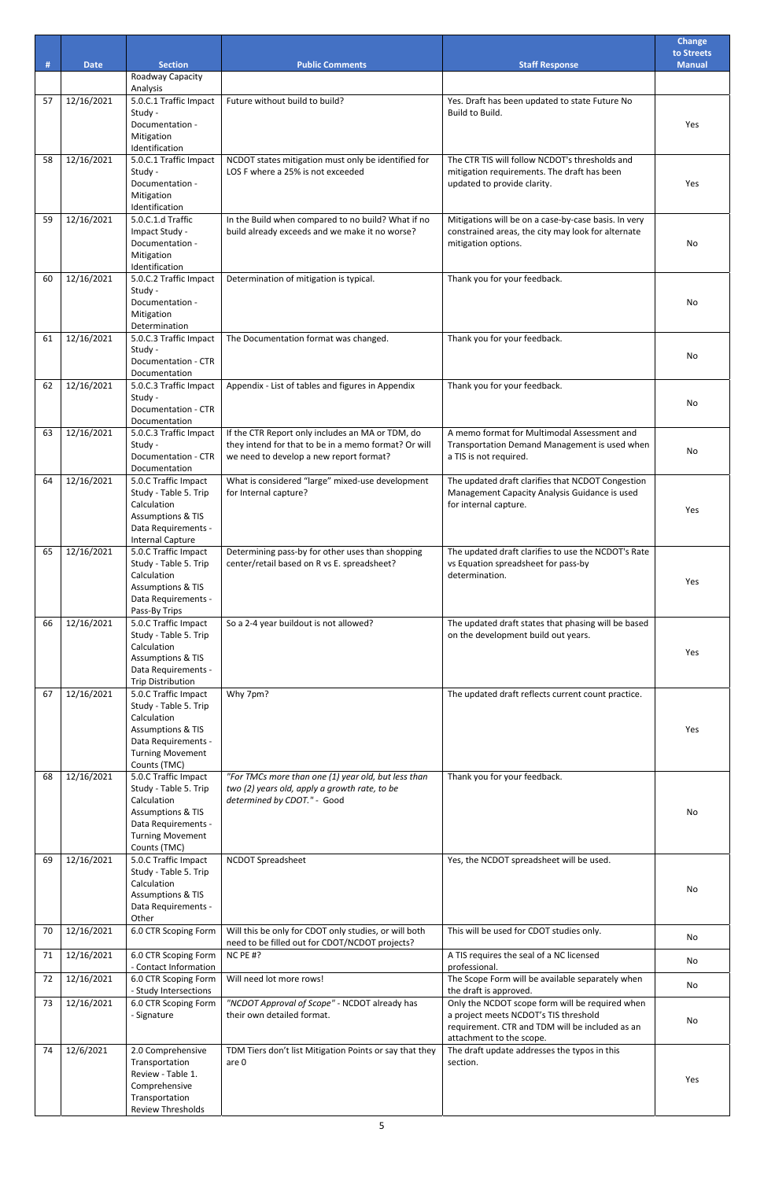|    |             |                                                                                                                                                                                            |                                                                                                                                     |                                                                                                                                   | <b>Change</b><br>to Streets |
|----|-------------|--------------------------------------------------------------------------------------------------------------------------------------------------------------------------------------------|-------------------------------------------------------------------------------------------------------------------------------------|-----------------------------------------------------------------------------------------------------------------------------------|-----------------------------|
| #  | <b>Date</b> | <b>Section</b>                                                                                                                                                                             | <b>Public Comments</b>                                                                                                              | <b>Staff Response</b>                                                                                                             | <b>Manual</b>               |
|    |             | Roadway Capacity<br>Analysis                                                                                                                                                               |                                                                                                                                     |                                                                                                                                   |                             |
| 57 | 12/16/2021  | 5.0.C.1 Traffic Impact<br>Study -<br>Documentation -<br>Mitigation<br>Identification                                                                                                       | Future without build to build?                                                                                                      | Yes. Draft has been updated to state Future No<br>Build to Build.                                                                 | Yes                         |
| 58 | 12/16/2021  | 5.0.C.1 Traffic Impact<br>Study -<br>Documentation -<br>Mitigation<br>Identification                                                                                                       | NCDOT states mitigation must only be identified for<br>LOS F where a 25% is not exceeded                                            | The CTR TIS will follow NCDOT's thresholds and<br>mitigation requirements. The draft has been<br>updated to provide clarity.      | Yes                         |
| 59 | 12/16/2021  | 5.0.C.1.d Traffic<br>Impact Study -<br>Documentation -<br>Mitigation                                                                                                                       | In the Build when compared to no build? What if no<br>build already exceeds and we make it no worse?                                | Mitigations will be on a case-by-case basis. In very<br>constrained areas, the city may look for alternate<br>mitigation options. | No                          |
| 60 | 12/16/2021  | Identification<br>5.0.C.2 Traffic Impact<br>Study -<br>Documentation -<br>Mitigation                                                                                                       | Determination of mitigation is typical.                                                                                             | Thank you for your feedback.                                                                                                      | No                          |
| 61 | 12/16/2021  | Determination<br>5.0.C.3 Traffic Impact<br>Study -<br>Documentation - CTR<br>Documentation                                                                                                 | The Documentation format was changed.                                                                                               | Thank you for your feedback.                                                                                                      | <b>No</b>                   |
| 62 | 12/16/2021  | 5.0.C.3 Traffic Impact<br>Study -<br>Documentation - CTR                                                                                                                                   | Appendix - List of tables and figures in Appendix                                                                                   | Thank you for your feedback.                                                                                                      | No                          |
| 63 | 12/16/2021  | Documentation<br>5.0.C.3 Traffic Impact                                                                                                                                                    | If the CTR Report only includes an MA or TDM, do                                                                                    | A memo format for Multimodal Assessment and                                                                                       |                             |
|    |             | Study -<br>Documentation - CTR<br>Documentation                                                                                                                                            | they intend for that to be in a memo format? Or will<br>we need to develop a new report format?                                     | Transportation Demand Management is used when<br>a TIS is not required.                                                           | No                          |
| 64 | 12/16/2021  | 5.0.C Traffic Impact<br>Study - Table 5. Trip<br>Calculation<br><b>Assumptions &amp; TIS</b><br>Data Requirements -<br><b>Internal Capture</b>                                             | What is considered "large" mixed-use development<br>for Internal capture?                                                           | The updated draft clarifies that NCDOT Congestion<br>Management Capacity Analysis Guidance is used<br>for internal capture.       | Yes                         |
| 65 | 12/16/2021  | 5.0.C Traffic Impact<br>Study - Table 5. Trip<br>Calculation<br><b>Assumptions &amp; TIS</b><br>Data Requirements -                                                                        | Determining pass-by for other uses than shopping<br>center/retail based on R vs E. spreadsheet?                                     | The updated draft clarifies to use the NCDOT's Rate<br>vs Equation spreadsheet for pass-by<br>determination.                      | Yes                         |
| 66 | 12/16/2021  | Pass-By Trips<br>5.0.C Traffic Impact<br>Study - Table 5. Trip<br>Calculation<br><b>Assumptions &amp; TIS</b><br>Data Requirements -                                                       | So a 2-4 year buildout is not allowed?                                                                                              | The updated draft states that phasing will be based<br>on the development build out years.                                        | Yes                         |
| 67 | 12/16/2021  | <b>Trip Distribution</b><br>5.0.C Traffic Impact<br>Study - Table 5. Trip<br>Calculation<br><b>Assumptions &amp; TIS</b><br>Data Requirements -<br><b>Turning Movement</b><br>Counts (TMC) | Why 7pm?                                                                                                                            | The updated draft reflects current count practice.                                                                                | Yes                         |
| 68 | 12/16/2021  | 5.0.C Traffic Impact<br>Study - Table 5. Trip<br>Calculation<br><b>Assumptions &amp; TIS</b><br>Data Requirements -<br><b>Turning Movement</b><br>Counts (TMC)                             | "For TMCs more than one (1) year old, but less than<br>two (2) years old, apply a growth rate, to be<br>determined by CDOT." - Good | Thank you for your feedback.                                                                                                      | No                          |
| 69 | 12/16/2021  | 5.0.C Traffic Impact<br>Study - Table 5. Trip<br>Calculation<br><b>Assumptions &amp; TIS</b><br>Data Requirements -<br>Other                                                               | <b>NCDOT Spreadsheet</b>                                                                                                            | Yes, the NCDOT spreadsheet will be used.                                                                                          | No                          |
| 70 | 12/16/2021  | 6.0 CTR Scoping Form                                                                                                                                                                       | Will this be only for CDOT only studies, or will both                                                                               | This will be used for CDOT studies only.                                                                                          | No                          |
| 71 | 12/16/2021  | 6.0 CTR Scoping Form                                                                                                                                                                       | need to be filled out for CDOT/NCDOT projects?<br>NC PE #?                                                                          | A TIS requires the seal of a NC licensed                                                                                          | No                          |
| 72 | 12/16/2021  | - Contact Information<br>6.0 CTR Scoping Form                                                                                                                                              | Will need lot more rows!                                                                                                            | professional.<br>The Scope Form will be available separately when                                                                 |                             |
|    |             | - Study Intersections<br>6.0 CTR Scoping Form                                                                                                                                              |                                                                                                                                     | the draft is approved.<br>Only the NCDOT scope form will be required when                                                         | No                          |
| 73 | 12/16/2021  | - Signature                                                                                                                                                                                | "NCDOT Approval of Scope" - NCDOT already has<br>their own detailed format.                                                         | a project meets NCDOT's TIS threshold<br>requirement. CTR and TDM will be included as an<br>attachment to the scope.              | No                          |
| 74 | 12/6/2021   | 2.0 Comprehensive<br>Transportation<br>Review - Table 1.<br>Comprehensive<br>Transportation<br>Review Thresholds                                                                           | TDM Tiers don't list Mitigation Points or say that they<br>are 0                                                                    | The draft update addresses the typos in this<br>section.                                                                          | Yes                         |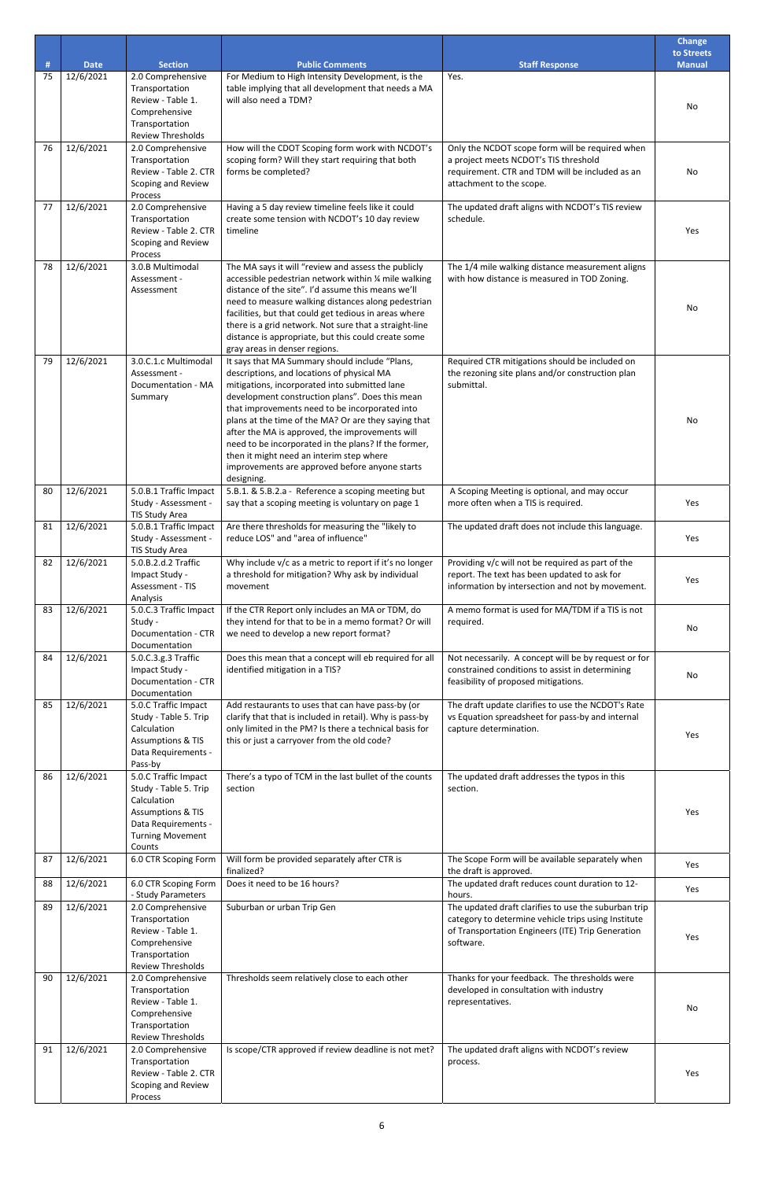|    |             |                                                                                                                                                          |                                                                                                                                                                                                                                                                                                                                                                                                                                                                                                                                   |                                                                                                                                                                               | <b>Change</b><br>to Streets |
|----|-------------|----------------------------------------------------------------------------------------------------------------------------------------------------------|-----------------------------------------------------------------------------------------------------------------------------------------------------------------------------------------------------------------------------------------------------------------------------------------------------------------------------------------------------------------------------------------------------------------------------------------------------------------------------------------------------------------------------------|-------------------------------------------------------------------------------------------------------------------------------------------------------------------------------|-----------------------------|
| #  | <b>Date</b> | <b>Section</b>                                                                                                                                           | <b>Public Comments</b>                                                                                                                                                                                                                                                                                                                                                                                                                                                                                                            | <b>Staff Response</b>                                                                                                                                                         | <b>Manual</b>               |
| 75 | 12/6/2021   | 2.0 Comprehensive<br>Transportation<br>Review - Table 1.<br>Comprehensive<br>Transportation<br><b>Review Thresholds</b>                                  | For Medium to High Intensity Development, is the<br>table implying that all development that needs a MA<br>will also need a TDM?                                                                                                                                                                                                                                                                                                                                                                                                  | Yes.                                                                                                                                                                          | No                          |
| 76 | 12/6/2021   | 2.0 Comprehensive<br>Transportation<br>Review - Table 2. CTR<br>Scoping and Review<br>Process                                                            | How will the CDOT Scoping form work with NCDOT's<br>scoping form? Will they start requiring that both<br>forms be completed?                                                                                                                                                                                                                                                                                                                                                                                                      | Only the NCDOT scope form will be required when<br>a project meets NCDOT's TIS threshold<br>requirement. CTR and TDM will be included as an<br>attachment to the scope.       | No                          |
| 77 | 12/6/2021   | 2.0 Comprehensive<br>Transportation<br>Review - Table 2. CTR<br>Scoping and Review<br>Process                                                            | Having a 5 day review timeline feels like it could<br>create some tension with NCDOT's 10 day review<br>timeline                                                                                                                                                                                                                                                                                                                                                                                                                  | The updated draft aligns with NCDOT's TIS review<br>schedule.                                                                                                                 | Yes                         |
| 78 | 12/6/2021   | 3.0.B Multimodal<br>Assessment -<br>Assessment                                                                                                           | The MA says it will "review and assess the publicly<br>accessible pedestrian network within 1/4 mile walking<br>distance of the site". I'd assume this means we'll<br>need to measure walking distances along pedestrian<br>facilities, but that could get tedious in areas where<br>there is a grid network. Not sure that a straight-line<br>distance is appropriate, but this could create some<br>gray areas in denser regions.                                                                                               | The 1/4 mile walking distance measurement aligns<br>with how distance is measured in TOD Zoning.                                                                              | No                          |
| 79 | 12/6/2021   | 3.0.C.1.c Multimodal<br>Assessment -<br>Documentation - MA<br>Summary                                                                                    | It says that MA Summary should include "Plans,<br>descriptions, and locations of physical MA<br>mitigations, incorporated into submitted lane<br>development construction plans". Does this mean<br>that improvements need to be incorporated into<br>plans at the time of the MA? Or are they saying that<br>after the MA is approved, the improvements will<br>need to be incorporated in the plans? If the former,<br>then it might need an interim step where<br>improvements are approved before anyone starts<br>designing. | Required CTR mitigations should be included on<br>the rezoning site plans and/or construction plan<br>submittal.                                                              | No                          |
| 80 | 12/6/2021   | 5.0.B.1 Traffic Impact<br>Study - Assessment -<br>TIS Study Area                                                                                         | 5.B.1. & 5.B.2.a - Reference a scoping meeting but<br>say that a scoping meeting is voluntary on page 1                                                                                                                                                                                                                                                                                                                                                                                                                           | A Scoping Meeting is optional, and may occur<br>more often when a TIS is required.                                                                                            | Yes                         |
| 81 | 12/6/2021   | 5.0.B.1 Traffic Impact<br>Study - Assessment -<br>TIS Study Area                                                                                         | Are there thresholds for measuring the "likely to<br>reduce LOS" and "area of influence"                                                                                                                                                                                                                                                                                                                                                                                                                                          | The updated draft does not include this language.                                                                                                                             | Yes                         |
| 82 | 12/6/2021   | 5.0.B.2.d.2 Traffic<br>Impact Study -<br>Assessment - TIS<br>Analysis                                                                                    | Why include v/c as a metric to report if it's no longer<br>a threshold for mitigation? Why ask by individual<br>movement                                                                                                                                                                                                                                                                                                                                                                                                          | Providing v/c will not be required as part of the<br>report. The text has been updated to ask for<br>information by intersection and not by movement.                         | Yes                         |
| 83 | 12/6/2021   | 5.0.C.3 Traffic Impact<br>Study -<br>Documentation - CTR<br>Documentation                                                                                | If the CTR Report only includes an MA or TDM, do<br>they intend for that to be in a memo format? Or will<br>we need to develop a new report format?                                                                                                                                                                                                                                                                                                                                                                               | A memo format is used for MA/TDM if a TIS is not<br>required.                                                                                                                 | <b>No</b>                   |
| 84 | 12/6/2021   | 5.0.C.3.g.3 Traffic<br>Impact Study -<br>Documentation - CTR<br>Documentation                                                                            | Does this mean that a concept will eb required for all<br>identified mitigation in a TIS?                                                                                                                                                                                                                                                                                                                                                                                                                                         | Not necessarily. A concept will be by request or for<br>constrained conditions to assist in determining<br>feasibility of proposed mitigations.                               | No                          |
| 85 | 12/6/2021   | 5.0.C Traffic Impact<br>Study - Table 5. Trip<br>Calculation<br><b>Assumptions &amp; TIS</b><br>Data Requirements -<br>Pass-by                           | Add restaurants to uses that can have pass-by (or<br>clarify that that is included in retail). Why is pass-by<br>only limited in the PM? Is there a technical basis for<br>this or just a carryover from the old code?                                                                                                                                                                                                                                                                                                            | The draft update clarifies to use the NCDOT's Rate<br>vs Equation spreadsheet for pass-by and internal<br>capture determination.                                              | Yes                         |
| 86 | 12/6/2021   | 5.0.C Traffic Impact<br>Study - Table 5. Trip<br>Calculation<br><b>Assumptions &amp; TIS</b><br>Data Requirements -<br><b>Turning Movement</b><br>Counts | There's a typo of TCM in the last bullet of the counts<br>section                                                                                                                                                                                                                                                                                                                                                                                                                                                                 | The updated draft addresses the typos in this<br>section.                                                                                                                     | Yes                         |
| 87 | 12/6/2021   | 6.0 CTR Scoping Form                                                                                                                                     | Will form be provided separately after CTR is<br>finalized?                                                                                                                                                                                                                                                                                                                                                                                                                                                                       | The Scope Form will be available separately when<br>the draft is approved.                                                                                                    | Yes                         |
| 88 | 12/6/2021   | 6.0 CTR Scoping Form<br>- Study Parameters                                                                                                               | Does it need to be 16 hours?                                                                                                                                                                                                                                                                                                                                                                                                                                                                                                      | The updated draft reduces count duration to 12-<br>hours.                                                                                                                     | Yes                         |
| 89 | 12/6/2021   | 2.0 Comprehensive<br>Transportation<br>Review - Table 1.<br>Comprehensive<br>Transportation<br><b>Review Thresholds</b>                                  | Suburban or urban Trip Gen                                                                                                                                                                                                                                                                                                                                                                                                                                                                                                        | The updated draft clarifies to use the suburban trip<br>category to determine vehicle trips using Institute<br>of Transportation Engineers (ITE) Trip Generation<br>software. | Yes                         |
| 90 | 12/6/2021   | 2.0 Comprehensive<br>Transportation<br>Review - Table 1.<br>Comprehensive<br>Transportation<br><b>Review Thresholds</b>                                  | Thresholds seem relatively close to each other                                                                                                                                                                                                                                                                                                                                                                                                                                                                                    | Thanks for your feedback. The thresholds were<br>developed in consultation with industry<br>representatives.                                                                  | No                          |
| 91 | 12/6/2021   | 2.0 Comprehensive<br>Transportation<br>Review - Table 2. CTR<br>Scoping and Review<br>Process                                                            | Is scope/CTR approved if review deadline is not met?                                                                                                                                                                                                                                                                                                                                                                                                                                                                              | The updated draft aligns with NCDOT's review<br>process.                                                                                                                      | Yes                         |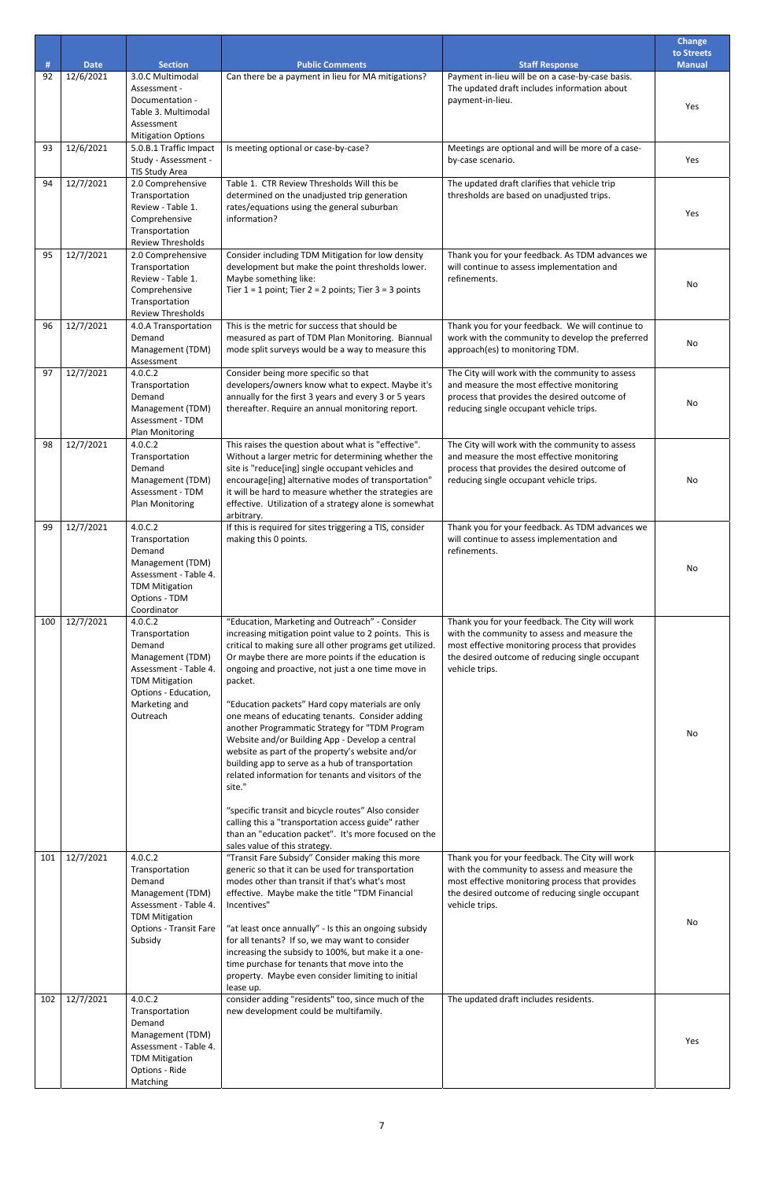|     |             |                                                                                                                                                                |                                                                                                                                                                                                                                                                                                                                                                                                                                                                                                                                                                                                                                                                                                                                                                                                                                                                                         |                                                                                                                                                                                                                         | <b>Change</b><br>to Streets |
|-----|-------------|----------------------------------------------------------------------------------------------------------------------------------------------------------------|-----------------------------------------------------------------------------------------------------------------------------------------------------------------------------------------------------------------------------------------------------------------------------------------------------------------------------------------------------------------------------------------------------------------------------------------------------------------------------------------------------------------------------------------------------------------------------------------------------------------------------------------------------------------------------------------------------------------------------------------------------------------------------------------------------------------------------------------------------------------------------------------|-------------------------------------------------------------------------------------------------------------------------------------------------------------------------------------------------------------------------|-----------------------------|
| #   | <b>Date</b> | <b>Section</b>                                                                                                                                                 | <b>Public Comments</b>                                                                                                                                                                                                                                                                                                                                                                                                                                                                                                                                                                                                                                                                                                                                                                                                                                                                  | <b>Staff Response</b>                                                                                                                                                                                                   | <b>Manual</b>               |
| 92  | 12/6/2021   | 3.0.C Multimodal<br>Assessment -<br>Documentation -<br>Table 3. Multimodal<br>Assessment<br><b>Mitigation Options</b>                                          | Can there be a payment in lieu for MA mitigations?                                                                                                                                                                                                                                                                                                                                                                                                                                                                                                                                                                                                                                                                                                                                                                                                                                      | Payment in-lieu will be on a case-by-case basis.<br>The updated draft includes information about<br>payment-in-lieu.                                                                                                    | Yes                         |
| 93  | 12/6/2021   | 5.0.B.1 Traffic Impact<br>Study - Assessment -<br>TIS Study Area                                                                                               | Is meeting optional or case-by-case?                                                                                                                                                                                                                                                                                                                                                                                                                                                                                                                                                                                                                                                                                                                                                                                                                                                    | Meetings are optional and will be more of a case-<br>by-case scenario.                                                                                                                                                  | Yes                         |
| 94  | 12/7/2021   | 2.0 Comprehensive<br>Transportation<br>Review - Table 1.<br>Comprehensive<br>Transportation<br><b>Review Thresholds</b>                                        | Table 1. CTR Review Thresholds Will this be<br>determined on the unadjusted trip generation<br>rates/equations using the general suburban<br>information?                                                                                                                                                                                                                                                                                                                                                                                                                                                                                                                                                                                                                                                                                                                               | The updated draft clarifies that vehicle trip<br>thresholds are based on unadjusted trips.                                                                                                                              | Yes                         |
| 95  | 12/7/2021   | 2.0 Comprehensive<br>Transportation<br>Review - Table 1.<br>Comprehensive<br>Transportation<br><b>Review Thresholds</b>                                        | Consider including TDM Mitigation for low density<br>development but make the point thresholds lower.<br>Maybe something like:<br>Tier $1 = 1$ point; Tier $2 = 2$ points; Tier $3 = 3$ points                                                                                                                                                                                                                                                                                                                                                                                                                                                                                                                                                                                                                                                                                          | Thank you for your feedback. As TDM advances we<br>will continue to assess implementation and<br>refinements.                                                                                                           | No                          |
| 96  | 12/7/2021   | 4.0.A Transportation<br>Demand<br>Management (TDM)<br>Assessment                                                                                               | This is the metric for success that should be<br>measured as part of TDM Plan Monitoring. Biannual<br>mode split surveys would be a way to measure this                                                                                                                                                                                                                                                                                                                                                                                                                                                                                                                                                                                                                                                                                                                                 | Thank you for your feedback. We will continue to<br>work with the community to develop the preferred<br>approach(es) to monitoring TDM.                                                                                 | No                          |
| 97  | 12/7/2021   | 4.0.C.2<br>Transportation<br>Demand<br>Management (TDM)<br>Assessment - TDM<br>Plan Monitoring                                                                 | Consider being more specific so that<br>developers/owners know what to expect. Maybe it's<br>annually for the first 3 years and every 3 or 5 years<br>thereafter. Require an annual monitoring report.                                                                                                                                                                                                                                                                                                                                                                                                                                                                                                                                                                                                                                                                                  | The City will work with the community to assess<br>and measure the most effective monitoring<br>process that provides the desired outcome of<br>reducing single occupant vehicle trips.                                 | No                          |
| 98  | 12/7/2021   | 4.0.C.2<br>Transportation<br>Demand<br>Management (TDM)<br>Assessment - TDM<br>Plan Monitoring                                                                 | This raises the question about what is "effective".<br>Without a larger metric for determining whether the<br>site is "reduce[ing] single occupant vehicles and<br>encourage[ing] alternative modes of transportation"<br>it will be hard to measure whether the strategies are<br>effective. Utilization of a strategy alone is somewhat<br>arbitrary.                                                                                                                                                                                                                                                                                                                                                                                                                                                                                                                                 | The City will work with the community to assess<br>and measure the most effective monitoring<br>process that provides the desired outcome of<br>reducing single occupant vehicle trips.                                 | No                          |
| 99  | 12/7/2021   | 4.0.C.2<br>Transportation<br>Demand<br>Management (TDM)<br>Assessment - Table 4.<br><b>TDM Mitigation</b><br>Options - TDM<br>Coordinator                      | If this is required for sites triggering a TIS, consider<br>making this 0 points.                                                                                                                                                                                                                                                                                                                                                                                                                                                                                                                                                                                                                                                                                                                                                                                                       | Thank you for your feedback. As TDM advances we<br>will continue to assess implementation and<br>refinements.                                                                                                           | No                          |
| 100 | 12/7/2021   | 4.0.C.2<br>Transportation<br>Demand<br>Management (TDM)<br>Assessment - Table 4.<br><b>TDM Mitigation</b><br>Options - Education,<br>Marketing and<br>Outreach | "Education, Marketing and Outreach" - Consider<br>increasing mitigation point value to 2 points. This is<br>critical to making sure all other programs get utilized.<br>Or maybe there are more points if the education is<br>ongoing and proactive, not just a one time move in<br>packet.<br>"Education packets" Hard copy materials are only<br>one means of educating tenants. Consider adding<br>another Programmatic Strategy for "TDM Program<br>Website and/or Building App - Develop a central<br>website as part of the property's website and/or<br>building app to serve as a hub of transportation<br>related information for tenants and visitors of the<br>site."<br>"specific transit and bicycle routes" Also consider<br>calling this a "transportation access guide" rather<br>than an "education packet". It's more focused on the<br>sales value of this strategy. | Thank you for your feedback. The City will work<br>with the community to assess and measure the<br>most effective monitoring process that provides<br>the desired outcome of reducing single occupant<br>vehicle trips. | No                          |
| 101 | 12/7/2021   | 4.0.C.2<br>Transportation<br>Demand<br>Management (TDM)<br>Assessment - Table 4.<br><b>TDM Mitigation</b><br><b>Options - Transit Fare</b><br>Subsidy          | "Transit Fare Subsidy" Consider making this more<br>generic so that it can be used for transportation<br>modes other than transit if that's what's most<br>effective. Maybe make the title "TDM Financial<br>Incentives"<br>"at least once annually" - Is this an ongoing subsidy<br>for all tenants? If so, we may want to consider<br>increasing the subsidy to 100%, but make it a one-<br>time purchase for tenants that move into the<br>property. Maybe even consider limiting to initial<br>lease up.                                                                                                                                                                                                                                                                                                                                                                            | Thank you for your feedback. The City will work<br>with the community to assess and measure the<br>most effective monitoring process that provides<br>the desired outcome of reducing single occupant<br>vehicle trips. | No                          |
| 102 | 12/7/2021   | 4.0.C.2<br>Transportation<br>Demand<br>Management (TDM)<br>Assessment - Table 4.<br><b>TDM Mitigation</b><br>Options - Ride<br>Matching                        | consider adding "residents" too, since much of the<br>new development could be multifamily.                                                                                                                                                                                                                                                                                                                                                                                                                                                                                                                                                                                                                                                                                                                                                                                             | The updated draft includes residents.                                                                                                                                                                                   | Yes                         |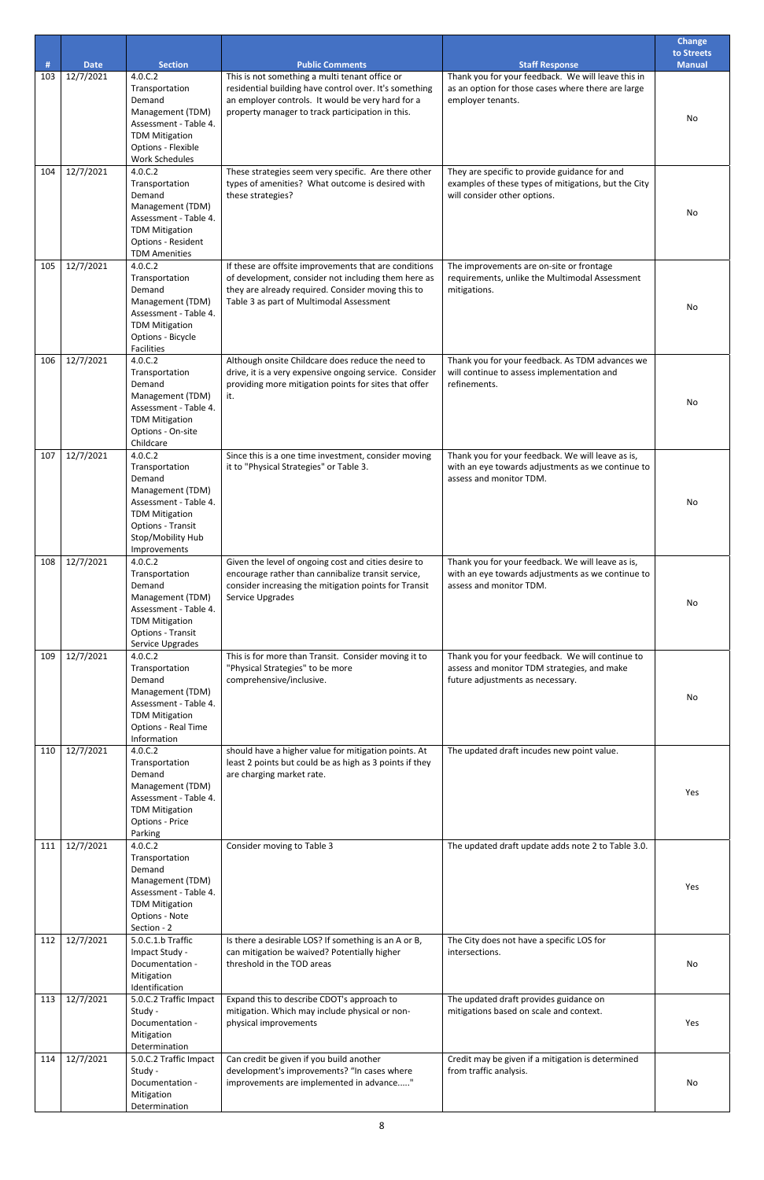|     |             |                                                                                                                                                                            |                                                                                                                                                                                                                   |                                                                                                                                       | <b>Change</b><br>to Streets |
|-----|-------------|----------------------------------------------------------------------------------------------------------------------------------------------------------------------------|-------------------------------------------------------------------------------------------------------------------------------------------------------------------------------------------------------------------|---------------------------------------------------------------------------------------------------------------------------------------|-----------------------------|
| #   | <b>Date</b> | <b>Section</b>                                                                                                                                                             | <b>Public Comments</b>                                                                                                                                                                                            | <b>Staff Response</b>                                                                                                                 | <b>Manual</b>               |
| 103 | 12/7/2021   | 4.0.C.2<br>Transportation<br>Demand<br>Management (TDM)<br>Assessment - Table 4.<br><b>TDM Mitigation</b><br>Options - Flexible<br><b>Work Schedules</b>                   | This is not something a multi tenant office or<br>residential building have control over. It's something<br>an employer controls. It would be very hard for a<br>property manager to track participation in this. | Thank you for your feedback. We will leave this in<br>as an option for those cases where there are large<br>employer tenants.         | No                          |
| 104 | 12/7/2021   | 4.0.C.2<br>Transportation<br>Demand<br>Management (TDM)<br>Assessment - Table 4.<br><b>TDM Mitigation</b><br>Options - Resident<br><b>TDM Amenities</b>                    | These strategies seem very specific. Are there other<br>types of amenities? What outcome is desired with<br>these strategies?                                                                                     | They are specific to provide guidance for and<br>examples of these types of mitigations, but the City<br>will consider other options. | No                          |
| 105 | 12/7/2021   | 4.0.C.2<br>Transportation<br>Demand<br>Management (TDM)<br>Assessment - Table 4.<br><b>TDM Mitigation</b><br>Options - Bicycle<br><b>Facilities</b>                        | If these are offsite improvements that are conditions<br>of development, consider not including them here as<br>they are already required. Consider moving this to<br>Table 3 as part of Multimodal Assessment    | The improvements are on-site or frontage<br>requirements, unlike the Multimodal Assessment<br>mitigations.                            | No                          |
| 106 | 12/7/2021   | 4.0.C.2<br>Transportation<br>Demand<br>Management (TDM)<br>Assessment - Table 4.<br><b>TDM Mitigation</b><br>Options - On-site<br>Childcare                                | Although onsite Childcare does reduce the need to<br>drive, it is a very expensive ongoing service. Consider<br>providing more mitigation points for sites that offer<br>it.                                      | Thank you for your feedback. As TDM advances we<br>will continue to assess implementation and<br>refinements.                         | No                          |
| 107 | 12/7/2021   | 4.0.C.2<br>Transportation<br>Demand<br>Management (TDM)<br>Assessment - Table 4.<br><b>TDM Mitigation</b><br><b>Options - Transit</b><br>Stop/Mobility Hub<br>Improvements | Since this is a one time investment, consider moving<br>it to "Physical Strategies" or Table 3.                                                                                                                   | Thank you for your feedback. We will leave as is,<br>with an eye towards adjustments as we continue to<br>assess and monitor TDM.     | No                          |
| 108 | 12/7/2021   | 4.0.C.2<br>Transportation<br>Demand<br>Management (TDM)<br>Assessment - Table 4.<br><b>TDM Mitigation</b><br><b>Options - Transit</b><br>Service Upgrades                  | Given the level of ongoing cost and cities desire to<br>encourage rather than cannibalize transit service,<br>consider increasing the mitigation points for Transit<br>Service Upgrades                           | Thank you for your feedback. We will leave as is,<br>with an eye towards adjustments as we continue to<br>assess and monitor TDM.     | No                          |
| 109 | 12/7/2021   | 4.0.C.2<br>Transportation<br>Demand<br>Management (TDM)<br>Assessment - Table 4.<br><b>TDM Mitigation</b><br>Options - Real Time<br>Information                            | This is for more than Transit. Consider moving it to<br>"Physical Strategies" to be more<br>comprehensive/inclusive.                                                                                              | Thank you for your feedback. We will continue to<br>assess and monitor TDM strategies, and make<br>future adjustments as necessary.   | No                          |
| 110 | 12/7/2021   | 4.0.C.2<br>Transportation<br>Demand<br>Management (TDM)<br>Assessment - Table 4.<br><b>TDM Mitigation</b><br>Options - Price<br>Parking                                    | should have a higher value for mitigation points. At<br>least 2 points but could be as high as 3 points if they<br>are charging market rate.                                                                      | The updated draft incudes new point value.                                                                                            | Yes                         |
| 111 | 12/7/2021   | 4.0.C.2<br>Transportation<br>Demand<br>Management (TDM)<br>Assessment - Table 4.<br><b>TDM Mitigation</b><br>Options - Note<br>Section - 2                                 | Consider moving to Table 3                                                                                                                                                                                        | The updated draft update adds note 2 to Table 3.0.                                                                                    | Yes                         |
| 112 | 12/7/2021   | 5.0.C.1.b Traffic<br>Impact Study -<br>Documentation -<br>Mitigation<br>Identification                                                                                     | Is there a desirable LOS? If something is an A or B,<br>can mitigation be waived? Potentially higher<br>threshold in the TOD areas                                                                                | The City does not have a specific LOS for<br>intersections.                                                                           | No                          |
| 113 | 12/7/2021   | 5.0.C.2 Traffic Impact<br>Study -<br>Documentation -<br>Mitigation<br>Determination                                                                                        | Expand this to describe CDOT's approach to<br>mitigation. Which may include physical or non-<br>physical improvements                                                                                             | The updated draft provides guidance on<br>mitigations based on scale and context.                                                     | Yes                         |
| 114 | 12/7/2021   | 5.0.C.2 Traffic Impact<br>Study -<br>Documentation -<br>Mitigation<br>Determination                                                                                        | Can credit be given if you build another<br>development's improvements? "In cases where<br>improvements are implemented in advance"                                                                               | Credit may be given if a mitigation is determined<br>from traffic analysis.                                                           | No                          |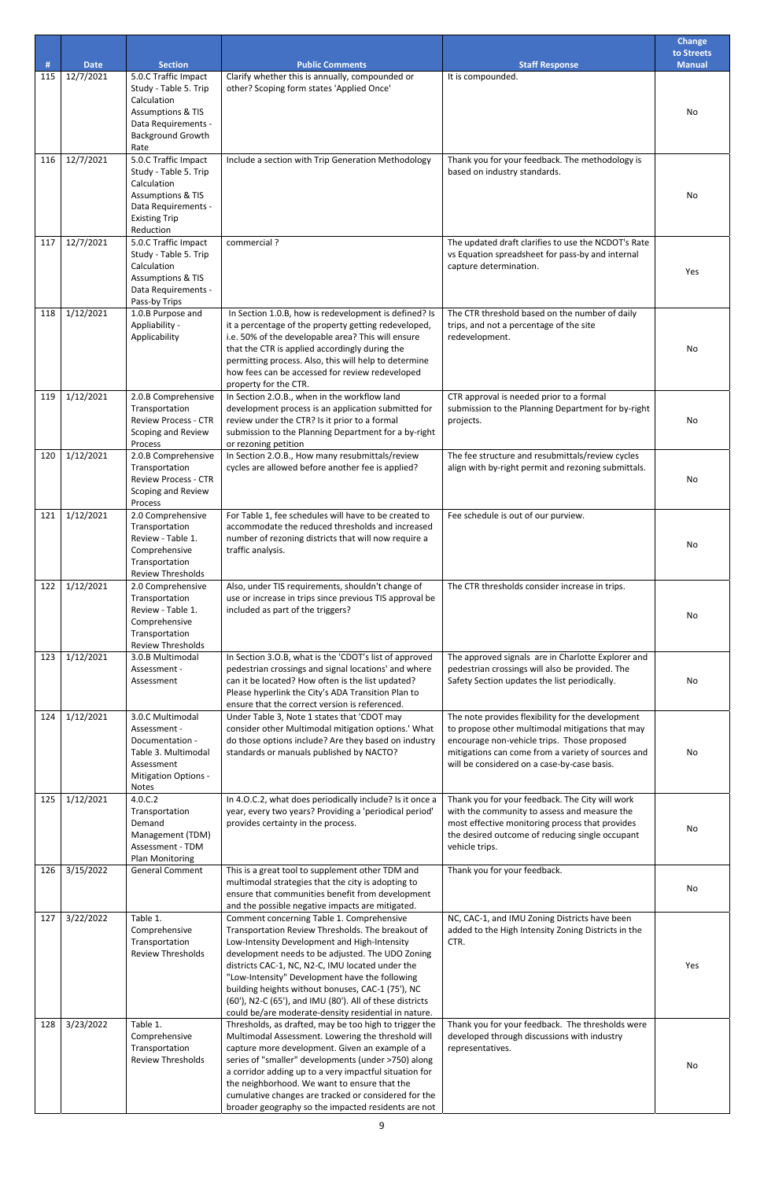|          |                          |                                                                                                                                                          |                                                                                                                                                                                                                                                                                                                                                                                                                                                                                   |                                                                                                                                                                                                                                                           | <b>Change</b><br>to Streets |
|----------|--------------------------|----------------------------------------------------------------------------------------------------------------------------------------------------------|-----------------------------------------------------------------------------------------------------------------------------------------------------------------------------------------------------------------------------------------------------------------------------------------------------------------------------------------------------------------------------------------------------------------------------------------------------------------------------------|-----------------------------------------------------------------------------------------------------------------------------------------------------------------------------------------------------------------------------------------------------------|-----------------------------|
| #<br>115 | <b>Date</b><br>12/7/2021 | <b>Section</b><br>5.0.C Traffic Impact                                                                                                                   | <b>Public Comments</b><br>Clarify whether this is annually, compounded or                                                                                                                                                                                                                                                                                                                                                                                                         | <b>Staff Response</b><br>It is compounded.                                                                                                                                                                                                                | <b>Manual</b>               |
|          |                          | Study - Table 5. Trip<br>Calculation<br><b>Assumptions &amp; TIS</b><br>Data Requirements -<br><b>Background Growth</b><br>Rate                          | other? Scoping form states 'Applied Once'                                                                                                                                                                                                                                                                                                                                                                                                                                         |                                                                                                                                                                                                                                                           | No                          |
| 116      | 12/7/2021                | 5.0.C Traffic Impact<br>Study - Table 5. Trip<br>Calculation<br><b>Assumptions &amp; TIS</b><br>Data Requirements -<br><b>Existing Trip</b><br>Reduction | Include a section with Trip Generation Methodology                                                                                                                                                                                                                                                                                                                                                                                                                                | Thank you for your feedback. The methodology is<br>based on industry standards.                                                                                                                                                                           | No                          |
| 117      | 12/7/2021                | 5.0.C Traffic Impact<br>Study - Table 5. Trip<br>Calculation<br><b>Assumptions &amp; TIS</b><br>Data Requirements -<br>Pass-by Trips                     | commercial ?                                                                                                                                                                                                                                                                                                                                                                                                                                                                      | The updated draft clarifies to use the NCDOT's Rate<br>vs Equation spreadsheet for pass-by and internal<br>capture determination.                                                                                                                         | Yes                         |
| 118      | 1/12/2021                | 1.0.B Purpose and<br>Appliability -<br>Applicability                                                                                                     | In Section 1.0.B, how is redevelopment is defined? Is<br>it a percentage of the property getting redeveloped,<br>i.e. 50% of the developable area? This will ensure<br>that the CTR is applied accordingly during the<br>permitting process. Also, this will help to determine<br>how fees can be accessed for review redeveloped<br>property for the CTR.                                                                                                                        | The CTR threshold based on the number of daily<br>trips, and not a percentage of the site<br>redevelopment.                                                                                                                                               | No                          |
| 119      | 1/12/2021                | 2.0.B Comprehensive<br>Transportation<br><b>Review Process - CTR</b><br>Scoping and Review<br>Process                                                    | In Section 2.O.B., when in the workflow land<br>development process is an application submitted for<br>review under the CTR? Is it prior to a formal<br>submission to the Planning Department for a by-right<br>or rezoning petition                                                                                                                                                                                                                                              | CTR approval is needed prior to a formal<br>submission to the Planning Department for by-right<br>projects.                                                                                                                                               | No                          |
| 120      | 1/12/2021                | 2.0.B Comprehensive<br>Transportation<br><b>Review Process - CTR</b><br>Scoping and Review<br>Process                                                    | In Section 2.O.B., How many resubmittals/review<br>cycles are allowed before another fee is applied?                                                                                                                                                                                                                                                                                                                                                                              | The fee structure and resubmittals/review cycles<br>align with by-right permit and rezoning submittals.                                                                                                                                                   | No                          |
| 121      | 1/12/2021                | 2.0 Comprehensive<br>Transportation<br>Review - Table 1.<br>Comprehensive<br>Transportation<br><b>Review Thresholds</b>                                  | For Table 1, fee schedules will have to be created to<br>accommodate the reduced thresholds and increased<br>number of rezoning districts that will now require a<br>traffic analysis.                                                                                                                                                                                                                                                                                            | Fee schedule is out of our purview.                                                                                                                                                                                                                       | No                          |
| 122      | 1/12/2021                | 2.0 Comprehensive<br>Transportation<br>Review - Table 1.<br>Comprehensive<br>Transportation<br><b>Review Thresholds</b>                                  | Also, under TIS requirements, shouldn't change of<br>use or increase in trips since previous TIS approval be<br>included as part of the triggers?                                                                                                                                                                                                                                                                                                                                 | The CTR thresholds consider increase in trips.                                                                                                                                                                                                            | No                          |
| 123      | 1/12/2021                | 3.0.B Multimodal<br>Assessment -<br>Assessment                                                                                                           | In Section 3.O.B, what is the 'CDOT's list of approved<br>pedestrian crossings and signal locations' and where<br>can it be located? How often is the list updated?<br>Please hyperlink the City's ADA Transition Plan to<br>ensure that the correct version is referenced.                                                                                                                                                                                                       | The approved signals are in Charlotte Explorer and<br>pedestrian crossings will also be provided. The<br>Safety Section updates the list periodically.                                                                                                    | No                          |
| 124      | 1/12/2021                | 3.0.C Multimodal<br>Assessment -<br>Documentation -<br>Table 3. Multimodal<br>Assessment<br>Mitigation Options -<br>Notes                                | Under Table 3, Note 1 states that 'CDOT may<br>consider other Multimodal mitigation options.' What<br>do those options include? Are they based on industry<br>standards or manuals published by NACTO?                                                                                                                                                                                                                                                                            | The note provides flexibility for the development<br>to propose other multimodal mitigations that may<br>encourage non-vehicle trips. Those proposed<br>mitigations can come from a variety of sources and<br>will be considered on a case-by-case basis. | No                          |
| 125      | 1/12/2021                | 4.0.C.2<br>Transportation<br>Demand<br>Management (TDM)<br>Assessment - TDM<br>Plan Monitoring                                                           | In 4.O.C.2, what does periodically include? Is it once a<br>year, every two years? Providing a 'periodical period'<br>provides certainty in the process.                                                                                                                                                                                                                                                                                                                          | Thank you for your feedback. The City will work<br>with the community to assess and measure the<br>most effective monitoring process that provides<br>the desired outcome of reducing single occupant<br>vehicle trips.                                   | No                          |
| 126      | 3/15/2022                | <b>General Comment</b>                                                                                                                                   | This is a great tool to supplement other TDM and<br>multimodal strategies that the city is adopting to<br>ensure that communities benefit from development<br>and the possible negative impacts are mitigated.                                                                                                                                                                                                                                                                    | Thank you for your feedback.                                                                                                                                                                                                                              | No                          |
| 127      | 3/22/2022                | Table 1.<br>Comprehensive<br>Transportation<br><b>Review Thresholds</b>                                                                                  | Comment concerning Table 1. Comprehensive<br>Transportation Review Thresholds. The breakout of<br>Low-Intensity Development and High-Intensity<br>development needs to be adjusted. The UDO Zoning<br>districts CAC-1, NC, N2-C, IMU located under the<br>"Low-Intensity" Development have the following<br>building heights without bonuses, CAC-1 (75'), NC<br>(60'), N2-C (65'), and IMU (80'). All of these districts<br>could be/are moderate-density residential in nature. | NC, CAC-1, and IMU Zoning Districts have been<br>added to the High Intensity Zoning Districts in the<br>CTR.                                                                                                                                              | Yes                         |
| 128      | 3/23/2022                | Table 1.<br>Comprehensive<br>Transportation<br>Review Thresholds                                                                                         | Thresholds, as drafted, may be too high to trigger the<br>Multimodal Assessment. Lowering the threshold will<br>capture more development. Given an example of a<br>series of "smaller" developments (under >750) along<br>a corridor adding up to a very impactful situation for<br>the neighborhood. We want to ensure that the<br>cumulative changes are tracked or considered for the<br>broader geography so the impacted residents are not                                   | Thank you for your feedback. The thresholds were<br>developed through discussions with industry<br>representatives.                                                                                                                                       | No                          |